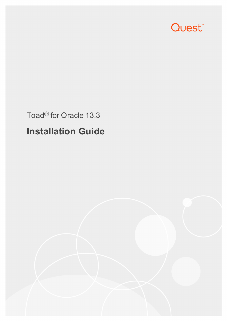

# Toad® for Oracle 13.3 **Installation Guide**

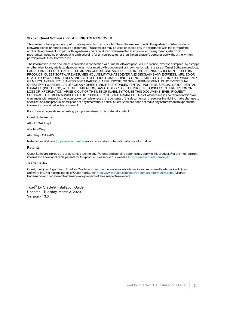#### **© 2020 Quest Software Inc. ALL RIGHTS RESERVED.**

This guide contains proprietary information protected by copyright. The software described in this guide is furnished under a software license or nondisclosure agreement. This software may be used or copied only in accordance with the terms of the applicable agreement. No part of this guide may be reproduced or transmitted in any form or by any means, electronic or mechanical, including photocopying and recording for any purpose other than the purchaser's personal use without the written permission of Quest Software Inc.

The information in this document is provided in connection with Quest Software products. No license, express or implied, by estoppel or otherwise, to any intellectual property right is granted by this document or in connection with the sale of Quest Software products. EXCEPT AS SET FORTH IN THE TERMS AND CONDITIONS AS SPECIFIED IN THE LICENSE AGREEMENT FOR THIS PRODUCT, QUEST SOFTWARE ASSUMES NO LIABILITY WHATSOEVER AND DISCLAIMS ANY EXPRESS, IMPLIED OR STATUTORY WARRANTY RELATING TO ITS PRODUCTS INCLUDING, BUT NOT LIMITED TO, THE IMPLIED WARRANTY OF MERCHANTABILITY, FITNESS FOR A PARTICULAR PURPOSE, OR NON-INFRINGEMENT. IN NO EVENT SHALL QUEST SOFTWARE BE LIABLE FOR ANY DIRECT, INDIRECT, CONSEQUENTIAL, PUNITIVE, SPECIAL OR INCIDENTAL DAMAGES (INCLUDING, WITHOUT LIMITATION, DAMAGES FOR LOSS OF PROFITS, BUSINESS INTERRUPTION OR LOSS OF INFORMATION) ARISING OUT OF THE USE OR INABILITY TO USE THIS DOCUMENT, EVEN IF QUEST SOFTWARE HAS BEEN ADVISED OF THE POSSIBILITY OF SUCH DAMAGES. Quest Software makes no representations or warranties with respect to the accuracy or completeness of the contents of this document and reserves the right to make changes to specifications and product descriptions at any time without notice. Quest Software does not make any commitment to update the information contained in this document.

If you have any questions regarding your potential use of this material, contact:

Quest Software Inc.

Attn: LEGAL Dept

4 Polaris Wav

Aliso Viejo, CA 92656

Refer to our Web site ([https://www.quest.com](https://www.quest.com/)) for regional and international office information.

#### **Patents**

Quest Software is proud of our advanced technology. Patents and pending patents may apply to this product. For the most current information about applicable patents for this product, please visit our website at <https://www.quest.com/legal>.

#### **Trademarks**

Quest, the Quest logo, Toad, Toad for Oracle, and Join the Innovation are trademarks and registered trademarks of Quest Software Inc. For a complete list of Quest marks, visit <https://www.quest.com/legal/trademark-information.aspx>. All other trademarks and registered trademarks are property of their respective owners.

Toad® for Oracle® Installation Guide Updated - Tuesday, March 3, 2020 Version - 13.3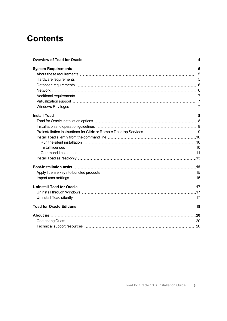### **Contents**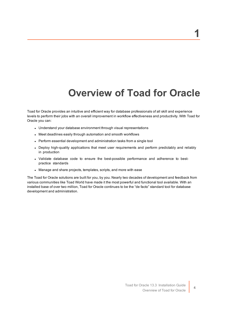# **Overview of Toad for Oracle**

<span id="page-3-0"></span>Toad for Oracle provides an intuitive and efficient way for database professionals of all skill and experience levels to perform their jobs with an overall improvement in workflow effectiveness and productivity. With Toad for Oracle you can:

- Understand your database environment through visual representations
- Meet deadlines easily through automation and smooth workflows
- Perform essential development and administration tasks from a single tool
- Deploy high-quality applications that meet user requirements and perform predictably and reliably in production
- Validate database code to ensure the best-possible performance and adherence to bestpractice standards
- Manage and share projects, templates, scripts, and more with ease

The Toad for Oracle solutions are built for you, by you. Nearly two decades of development and feedback from various communities like Toad World have made it the most powerful and functional tool available. With an installed base of over two million, Toad for Oracle continues to be the "de facto" standard tool for database development and administration.

4

**1**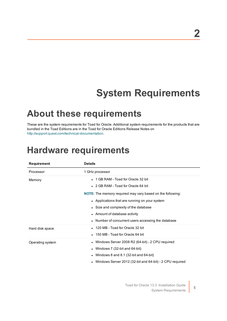# **System Requirements**

### <span id="page-4-1"></span><span id="page-4-0"></span>**About these requirements**

These are the system requirements for Toad for Oracle. Additional system requirements for the products that are bundled in the Toad Editions are in the Toad for Oracle Editions Release Notes on [http://support.quest.com/technical-documentation.](http://support.quest.com/technical-documentation)

### <span id="page-4-2"></span>**Hardware requirements**

| <b>Requirement</b> | <b>Details</b>                                                    |
|--------------------|-------------------------------------------------------------------|
| Processor          | 1 GHz processor                                                   |
| Memory             | • 1 GB RAM - Toad for Oracle 32 bit                               |
|                    | • 2 GB RAM - Toad for Oracle 64 bit                               |
|                    | <b>NOTE:</b> The memory required may vary based on the following: |
|                    | • Applications that are running on your system                    |
|                    | • Size and complexity of the database                             |
|                    | • Amount of database activity                                     |
|                    | • Number of concurrent users accessing the database               |
| Hard disk space    | • 120 MB - Toad for Oracle 32 bit                                 |
|                    | • 150 MB - Toad for Oracle 64 bit                                 |
| Operating system   | • Windows Server 2008 R2 (64-bit) - 2 CPU required                |
|                    | • Windows 7 (32-bit and $64$ -bit)                                |
|                    | Windows 8 and 8.1 (32-bit and 64-bit)                             |
|                    | Windows Server 2012 (32-bit and 64-bit) - 2 CPU required          |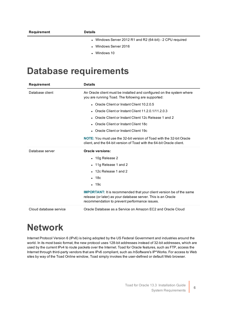- Windows Server 2012 R1 and R2 (64-bit) 2 CPU required
- Windows Server 2016
- $\cdot$  Windows 10

### <span id="page-5-0"></span>**Database requirements**

| <b>Requirement</b>     | <b>Details</b>                                                                                                                                                                                |
|------------------------|-----------------------------------------------------------------------------------------------------------------------------------------------------------------------------------------------|
| Database client        | An Oracle client must be installed and configured on the system where<br>you are running Toad. The following are supported:                                                                   |
|                        | • Oracle Client or Instant Client 10.2.0.5                                                                                                                                                    |
|                        | • Oracle Client or Instant Client $11.2.0.1/11.2.0.3$                                                                                                                                         |
|                        | Oracle Client or Instant Client 12c Release 1 and 2                                                                                                                                           |
|                        | • Oracle Client or Instant Client 18c                                                                                                                                                         |
|                        | • Oracle Client or Instant Client 19c                                                                                                                                                         |
|                        | NOTE: You must use the 32-bit version of Toad with the 32-bit Oracle<br>client, and the 64-bit version of Toad with the 64-bit Oracle client.                                                 |
| Database server        | Oracle versions:                                                                                                                                                                              |
|                        | $\cdot$ 10g Release 2                                                                                                                                                                         |
|                        | $\bullet$ 11g Release 1 and 2                                                                                                                                                                 |
|                        | 12c Release 1 and 2                                                                                                                                                                           |
|                        | $\cdot$ 18 $c$                                                                                                                                                                                |
|                        | $\cdot$ 19 $c$                                                                                                                                                                                |
|                        | <b>IMPORTANT:</b> It is recommended that your client version be of the same<br>release (or later) as your database server. This is an Oracle<br>recommendation to prevent performance issues. |
| Cloud database service | Oracle Database as a Service on Amazon EC2 and Oracle Cloud                                                                                                                                   |

### <span id="page-5-1"></span>**Network**

Internet Protocol Version 6 (IPv6) is being adopted by the US Federal Government and industries around the world. In its most basic format, the new protocol uses 128-bit addresses instead of 32-bit addresses, which are used by the current IPv4 to route packets over the Internet. Toad for Oracle features, such as FTP, access the Internet through third-party vendors that are IPv6 compliant, such as /nSoftware's IP\*Works. For access to Web sites by way of the Toad Online window, Toad simply invokes the user-defined or default Web browser.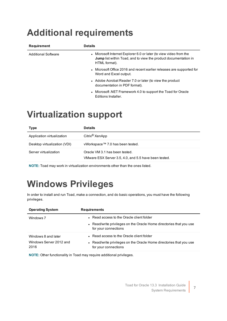### <span id="page-6-0"></span>**Additional requirements**

| Requirement                | <b>Details</b>                                                                                                                                                |
|----------------------------|---------------------------------------------------------------------------------------------------------------------------------------------------------------|
| <b>Additional Software</b> | • Microsoft Internet Explorer 6.0 or later (to view video from the<br><b>Jump</b> list within Toad, and to view the product documentation in<br>HTML format). |
|                            | • Microsoft Office 2016 and recent earlier releases are supported for<br>Word and Excel output.                                                               |
|                            | • Adobe Acrobat Reader 7.0 or later (to view the product<br>documentation in PDF format).                                                                     |
|                            | • Microsoft .NET Framework 4.0 to support the Toad for Oracle<br>Editions Installer.                                                                          |

### <span id="page-6-1"></span>**Virtualization support**

| <b>Type</b>                  | <b>Details</b>                                                                          |
|------------------------------|-----------------------------------------------------------------------------------------|
| Application virtualization   | Citrix <sup>®</sup> XenApp                                                              |
| Desktop virtualization (VDI) | vWorkspace™ 7.0 has been tested.                                                        |
| Server virtualization        | Oracle VM 3.1 has been tested.<br>VMware ESX Server 3.5, 4.0, and 5.5 have been tested. |

<span id="page-6-2"></span>**NOTE:** Toad may work in virtualization environments other than the ones listed.

# **Windows Privileges**

In order to install and run Toad, make a connection, and do basic operations, you must have the following privileges.

| <b>Operating System</b>         | <b>Requirements</b>                                                                         |
|---------------------------------|---------------------------------------------------------------------------------------------|
| Windows 7                       | • Read access to the Oracle client folder                                                   |
|                                 | • Read/write privileges on the Oracle Home directories that you use<br>for your connections |
| Windows 8 and later             | • Read access to the Oracle client folder                                                   |
| Windows Server 2012 and<br>2016 | • Read/write privileges on the Oracle Home directories that you use<br>for your connections |

**NOTE:** Other functionality in Toad may require additional privileges.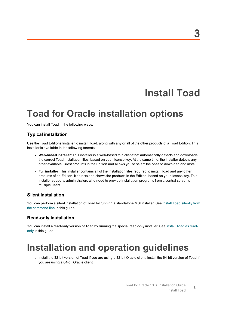### **Install Toad**

### <span id="page-7-1"></span><span id="page-7-0"></span>**Toad for Oracle installation options**

You can install Toad in the following ways:

### **Typical installation**

Use the Toad Editions Installer to install Toad, along with any or all of the other products of a Toad Edition. This installer is available in the following formats:

- <sup>l</sup> **Web-based installer**: This installer is a web-based thin client that automatically detects and downloads the correct Toad installation files, based on your license key. At the same time, the installer detects any other available Quest products in the Edition and allows you to select the ones to download and install.
- **Full installer**: This installer contains all of the installation files required to install Toad and any other products of an Edition. It detects and shows the products in the Edition, based on your license key. This installer supports administrators who need to provide installation programs from a central server to multiple users.

#### **Silent installation**

You can perform a silent installation of Toad by running a standalone MSI installer. See Install Toad [silently](#page-9-0) from the [command](#page-9-0) line in this guide.

#### **Read-only installation**

<span id="page-7-2"></span>You can install a read-only version of Toad by running the special read-only installer. See [Install](#page-12-0) Toad as read[only](#page-12-0) in this guide.

### **Installation and operation guidelines**

• Install the 32-bit version of Toad if you are using a 32-bit Oracle client. Install the 64-bit version of Toad if you are using a 64-bit Oracle client.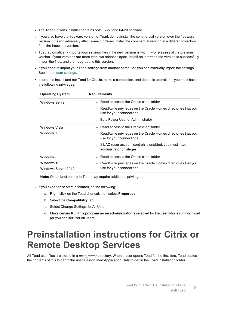- The Toad Editions installer contains both 32-bit and 64-bit software.
- If you also have the freeware version of Toad, do not install the commercial version over the freeware version. This will adversely affect some functions. Install the commercial version in a different directory from the freeware version.
- Toad automatically imports your settings files if the new version is within two releases of the previous version. If your versions are more than two releases apart, install an intermediate version to successfully import the files, and then upgrade to this version.
- If you need to import your Toad settings from another computer, you can manually import the settings. See Import user [settings.](#page-14-2)
- In order to install and run Toad for Oracle, make a connection, and do basic operations, you must have the following privileges:

| <b>Operating System</b> | <b>Requirements</b>                                                                          |
|-------------------------|----------------------------------------------------------------------------------------------|
| <b>Windows Server</b>   | • Read access to the Oracle client folder                                                    |
|                         | • Read/write privileges on the Oracle Homes directories that you<br>use for your connections |
|                         | • Be a Power User or Administrator                                                           |
| <b>Windows Vista</b>    | • Read access to the Oracle client folder                                                    |
| Windows 7               | • Read/write privileges on the Oracle Homes directories that you<br>use for your connections |
|                         | • If UAC (user account control) is enabled, you must have<br>administrator privileges        |
| Windows 8               | • Read access to the Oracle client folder                                                    |
| Windows 10              | • Read/write privileges on the Oracle Homes directories that you                             |
| Windows Server 2012     | use for your connections                                                                     |

**Note:** Other functionality in Toad may require additional privileges.

- If you experience startup failures, do the following:
	- a. Right-click on the Toad shortcut, then select **Properties**.
	- b. Select the **Compatibility** tab.
	- c. Select Change Settings for All User.
	- d. Make certain **Run this program as an administrator** is selected for the user who is running Toad (or you can set it for all users).

### <span id="page-8-0"></span>**Preinstallation instructions for Citrix or Remote Desktop Services**

All Toad user files are stored in a *user\_name* directory. When a user opens Toad for the first time, Toad copies the contents of this folder to the user's associated Application Data folder in the Toad installation folder.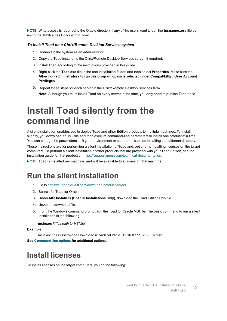**NOTE:** Write access is required to the Oracle directory if any of the users want to edit the **tnsnames.ora** file by using the TNSNames Editor within Toad.

#### *To install Toad on a Citrix/Remote Desktop Services system*

- 1. Connect to the system as an administrator.
- 2. Copy the Toad installer to the Citrix/Remote Desktop Services server, if required.
- 3. Install Toad according to the instructions provided in this guide.
- 4. Right-click the **Toad.exe** file in the root installation folder, and then select **Properties**. Make sure the **Allow non-administrators to run this program** option is selected under **Compatibility | User Account Privileges**.
- 5. Repeat these steps for each server in the Citrix/Remote Desktop Services farm. **Note:** Although you must install Toad on every server in the farm, you only need to publish Toad once.

### <span id="page-9-0"></span>**Install Toad silently from the command line**

A silent installation enables you to deploy Toad and other Edition products to multiple machines. To install silently, you download an MSI file and then execute command-line parameters to install one product at a time. You can change the parameters to fit your environment or standards, such as installing to a different directory.

These instructions are for performing a silent installation of Toad and, optionally, installing licenses on the target computers. To perform a silent installation of other products that are provided with your Toad Edition, see the installation guide for that product on <https://support.quest.com/technical-documentation>.

<span id="page-9-1"></span>**NOTE:** Toad is installed per machine, and will be available to all users on that machine.

### **Run the silent installation**

- 1. Go to <https://support.quest.com/download-product-select>.
- 2. Search for Toad for Oracle.
- 3. Under **MSI Installers (Special Installations Only)**, download the Toad Editions zip file.
- 4. Unzip the download file.
- 5. From the Windows command prompt, run the Toad for Oracle MSI file. The basic command to run a silent installation is the following:

**msiexec /i** "*full path to MSI file*"

#### **Example**

msiexec /i " C:\Users\jdoe\Downloads\ToadForOracle\_12.10.0.111\_x86\_En.msi"

<span id="page-9-2"></span>**See [Command-line](#page-10-0) options for additional options.**

### **Install licenses**

To install licenses on the target computers, you do the following: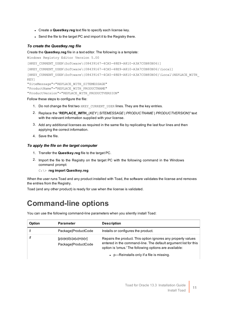- **.** Create a **Questkey.reg** text file to specify each license key.
- Send the file to the target PC and import it to the Registry there.

#### *To create the Questkey.reg file*

Create the **Questkey.reg** file in a text editor. The following is a template:

```
Windows Registry Editor Version 5.00
[HKEY_CURRENT_USER\Software\{08439167-4CA5-48E9-A810-A3A7C0B80B06}]
[HKEY_CURRENT_USER\Software\{08439167-4CA5-48E9-A810-A3A7C0B80B06}\Local]
[HKEY_CURRENT_USER\Software\{08439167-4CA5-48E9-A810-A3A7C0B80B06}\Local\REPLACE_WITH
KEY]
"SiteMessage"="REPLACE_WITH_SITEMESSAGE"
"ProductName"="REPLACE_WITH_PRODUCTNAME"
```
"ProductVersion"="REPLACE\_WITH\_PRODUCTVERSION"

Follow these steps to configure the file:

- 1. Do not change the first two HKEY\_CURRENT\_USER lines. They are the key entries.
- 2. Replace the "**REPLACE\_WITH\_**(*KEY* | *SITEMESSAGE* | *PRODUCTNAME* | *PRODUCTVERSION*)" text with the relevant information supplied with your license.
- 3. Add any additional licenses as required in the same file by replicating the last four lines and then applying the correct information.
- 4. Save the file.

#### *To apply the file on the target computer*

- 1. Transfer the **Questkey.reg** file to the target PC.
- 2. Import the file to the Registry on the target PC with the following command in the Windows command prompt:

C:\> **reg import Questkey.reg**

When the user runs Toad and any product installed with Toad, the software validates the license and removes the entries from the Registry.

<span id="page-10-0"></span>Toad (and any other product) is ready for use when the license is validated.

### **Command-line options**

You can use the following command-line parameters when you silently install Toad:

| Option                | <b>Parameter</b>    | <b>Description</b>                                                                                                                                                                        |
|-----------------------|---------------------|-------------------------------------------------------------------------------------------------------------------------------------------------------------------------------------------|
| $\sqrt{ }$            | Package ProductCode | Installs or configures the product.                                                                                                                                                       |
| [p o e d c a u m s v] | Package ProductCode | Repairs the product. This option ignores any property values<br>entered in the command-line. The default argument list for this<br>option is 'omus.' The following options are available: |
|                       |                     | • p—Reinstalls only if a file is missing.                                                                                                                                                 |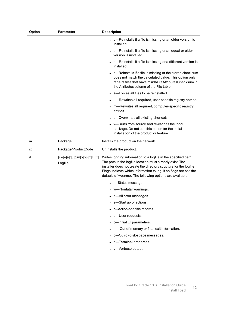| <b>Option</b> | <b>Parameter</b>                                         | <b>Description</b>                                                                                                                                                                                                                                                                                                                  |
|---------------|----------------------------------------------------------|-------------------------------------------------------------------------------------------------------------------------------------------------------------------------------------------------------------------------------------------------------------------------------------------------------------------------------------|
|               |                                                          | • o—Reinstalls if a file is missing or an older version is<br>installed.                                                                                                                                                                                                                                                            |
|               |                                                          | • e-Reinstalls if a file is missing or an equal or older<br>version is installed.                                                                                                                                                                                                                                                   |
|               |                                                          | • d—Reinstalls if a file is missing or a different version is<br>installed.                                                                                                                                                                                                                                                         |
|               |                                                          | • c—Reinstalls if a file is missing or the stored checksum<br>does not match the calculated value. This option only<br>repairs files that have msidbFileAttributesChecksum in<br>the Attributes column of the File table.                                                                                                           |
|               |                                                          | a-Forces all files to be reinstalled.                                                                                                                                                                                                                                                                                               |
|               |                                                          | u-Rewrites all required, user-specific registry entries.                                                                                                                                                                                                                                                                            |
|               |                                                          | • m-Rewrites all required, computer-specific registry<br>entries.                                                                                                                                                                                                                                                                   |
|               |                                                          | s-Overwrites all existing shortcuts.                                                                                                                                                                                                                                                                                                |
|               |                                                          | v-Runs from source and re-caches the local<br>package. Do not use this option for the initial<br>installation of the product or feature.                                                                                                                                                                                            |
| /a            | Package                                                  | Installs the product on the network.                                                                                                                                                                                                                                                                                                |
| /x            | Package/ProductCode                                      | Uninstalls the product.                                                                                                                                                                                                                                                                                                             |
| $\sqrt{ }$    | $[i w e a r u c m o p v x +1]$ <sup>*</sup> ]<br>Logfile | Writes logging information to a logfile in the specified path.<br>The path to the logfile location must already exist. The<br>installer does not create the directory structure for the logfile.<br>Flags indicate which information to log. If no flags are set, the<br>default is 'iwearmo.' The following options are available: |
|               |                                                          | • i—Status messages.                                                                                                                                                                                                                                                                                                                |
|               |                                                          | w—Nonfatal warnings.                                                                                                                                                                                                                                                                                                                |
|               |                                                          | • e-All error messages.                                                                                                                                                                                                                                                                                                             |
|               |                                                          | • a-Start up of actions.                                                                                                                                                                                                                                                                                                            |
|               |                                                          | r-Action-specific records.<br>$\bullet$                                                                                                                                                                                                                                                                                             |
|               |                                                          | u-User requests.                                                                                                                                                                                                                                                                                                                    |
|               |                                                          | c-Initial UI parameters.                                                                                                                                                                                                                                                                                                            |
|               |                                                          | m-Out-of-memory or fatal exit information.                                                                                                                                                                                                                                                                                          |
|               |                                                          | o-Out-of-disk-space messages.                                                                                                                                                                                                                                                                                                       |
|               |                                                          | p-Terminal properties.                                                                                                                                                                                                                                                                                                              |
|               |                                                          | v-Verbose output.                                                                                                                                                                                                                                                                                                                   |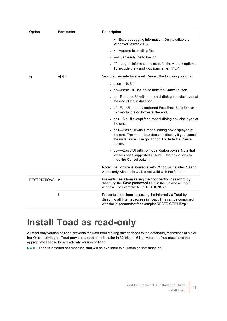| Option         | <b>Parameter</b> | <b>Description</b>                                                                                                                                                             |
|----------------|------------------|--------------------------------------------------------------------------------------------------------------------------------------------------------------------------------|
|                |                  | • x—Extra debugging information. Only available on<br>Windows Server 2003.                                                                                                     |
|                |                  | +-Append to existing file.                                                                                                                                                     |
|                |                  | $\bullet$ !---Flush each line to the log.                                                                                                                                      |
|                |                  | "*"-Log all information except for the v and x options.<br>To include the v and x options, enter "/l*vx".                                                                      |
| /q             | n b r f          | Sets the user interface level. Review the following options:                                                                                                                   |
|                |                  | $\bullet$ q, qn-No UI                                                                                                                                                          |
|                |                  | • qb-Basic UI. Use qb! to hide the Cancel button.                                                                                                                              |
|                |                  | • qr-Reduced UI with no modal dialog box displayed at<br>the end of the installation.                                                                                          |
|                |                  | • qf-Full UI and any authored FatalError, UserExit, or<br>Exit modal dialog boxes at the end.                                                                                  |
|                |                  | • qn+-No UI except for a modal dialog box displayed at<br>the end.                                                                                                             |
|                |                  | qb+—Basic UI with a modal dialog box displayed at<br>the end. The modal box does not display if you cancel<br>the installation. Use qb+! or qb!+ to hide the Cancel<br>button. |
|                |                  | qb- - Basic UI with no modal dialog boxes. Note that<br>/qb+- is not a supported UI level. Use qb-! or qb!- to<br>hide the Cancel button.                                      |
|                |                  | Note: The ! option is available with Windows Installer 2.0 and<br>works only with basic UI. It is not valid with the full UI.                                                  |
| RESTRICTIONS P |                  | Prevents users from saving their connection password by<br>disabling the Save password field in the Database Login<br>window. For example: RESTRICTIONS=p                      |
|                | j.               | Prevents users from accessing the Internet via Toad by<br>disabling all Internet access in Toad. This can be combined<br>with the 'p' parameter; for example: RESTRICTIONS=p,i |

# <span id="page-12-0"></span>**Install Toad as read-only**

A Read-only version of Toad prevents the user from making any changes to the database, regardless of his or her Oracle privileges. Toad provides a read-only installer in 32-bit and 64-bit versions. You must have the appropriate license for a read-only version of Toad.

**NOTE:** Toad is installed per machine, and will be available to all users on that machine.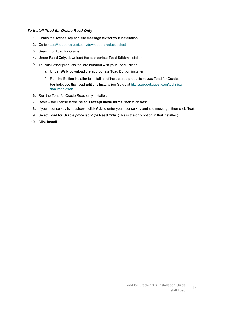#### *To install Toad for Oracle Read-Only*

- 1. Obtain the license key and site message text for your installation.
- 2. Go to <https://support.quest.com/download-product-select>.
- 3. Search for Toad for Oracle.
- 4. Under **Read Only**, download the appropriate **Toad Edition** installer.
- 5. To install other products that are bundled with your Toad Edition:
	- a. Under **Web**, download the appropriate **Toad Edition** installer.
	- b. Run the Edition installer to install all of the desired products *except* Toad for Oracle. For help, see the Toad Editions Installation Guide at [http://support.quest.com/technical](http://support.quest.com/technical-documentation)[documentation](http://support.quest.com/technical-documentation).
- 6. Run the Toad for Oracle Read-only installer.
- 7. Review the license terms, select **I accept these terms**, then click **Next**.
- 8. If your license key is not shown, click **Add** to enter your license key and site message, then click **Next**.
- 9. Select **Toad for Oracle** *processor-type* **Read Only**. (This is the only option in that installer.)
- 10. Click **Install**.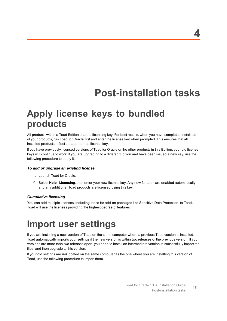# **Post-installation tasks**

### <span id="page-14-1"></span><span id="page-14-0"></span>**Apply license keys to bundled products**

All products within a Toad Edition share a licensing key. For best results, when you have completed installation of your products, run Toad for Oracle first and enter the license key when prompted. This ensures that all installed products reflect the appropriate license key.

If you have previously licensed versions of Toad for Oracle or the other products in this Edition, your old license keys will continue to work. If you are upgrading to a different Edition and have been issued a new key, use the following procedure to apply it.

#### *To add or upgrade an existing license*

- 1. Launch Toad for Oracle.
- 2. Select **Help** | **Licensing**, then enter your new license key. Any new features are enabled automatically, and any additional Toad products are licensed using this key.

#### *Cumulative licensing*

<span id="page-14-2"></span>You can add multiple licenses, including those for add-on packages like Sensitive Data Protection, to Toad. Toad will use the licenses providing the highest degree of features.

### **Import user settings**

If you are installing a new version of Toad on the same computer where a previous Toad version is installed, Toad automatically imports your settings if the new version is within two releases of the previous version. If your versions are more than two releases apart, you need to install an intermediate version to successfully import the files, and then upgrade to this version.

If your old settings are *not* located on the same computer as the one where you are installing this version of Toad, use the following procedure to import them.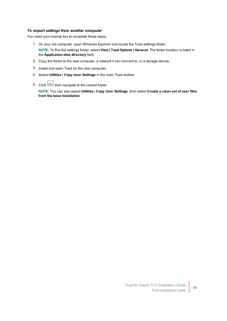#### *To import settings from another computer*

You need your license key to complete these steps.

- 1. On your old computer, open Windows Explorer and locate the Toad settings folder. **NOTE:** To find the settings folder, select **View | Toad Options | General**. The folder location is listed in the **Application data directory** field.
- 2. Copy the folder to the new computer, a network it can connect to, or a storage device.
- 3. Install and open Toad on the new computer.
- 4. Select **Utilities** | **Copy User Settings** in the main Toad toolbar.
- 5. Click  $\boxed{...}$  then navigate to the copied folder.

**NOTE:** You can also select **Utilities** | **Copy User Settings**, then select **Create a clean set of user files from the base installation**.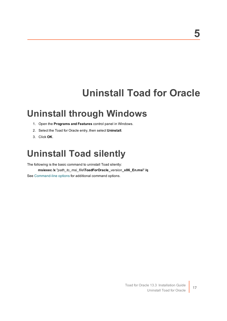# **Uninstall Toad for Oracle**

### <span id="page-16-1"></span><span id="page-16-0"></span>**Uninstall through Windows**

- 1. Open the **Programs and Features** control panel in Windows.
- 2. Select the Toad for Oracle entry, then select **Uninstall**.
- <span id="page-16-2"></span>3. Click **OK**.

### **Uninstall Toad silently**

The following is the basic command to uninstall Toad silently:

**msiexec /x** "*path\_to\_msi\_file***\ToadForOracle\_***version***\_x86\_En.msi**" **/q** See [Command-line](#page-10-0) options for additional command options.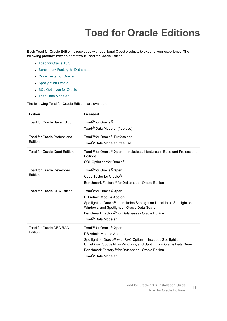# **Toad for Oracle Editions**

<span id="page-17-0"></span>Each Toad for Oracle Edition is packaged with additional Quest products to expand your experience. The following products may be part of your Toad for Oracle Edition:

- Toad for [Oracle](https://support.quest.com/technical-documents/toad-for-oracle/13.2/release-notes) 13.3
- **.** [Benchmark](https://support.quest.com/benchmark-factory-for-database/technical-documents) Factory for Databases
- **.** Code Tester for [Oracle](https://support.quest.com/code-tester-for-oracle/technical-documents)
- **[Spotlight](https://support.quest.com/spotlight-on-oracle/technical-documents) on Oracle**
- **.** SQL [Optimizer](https://support.quest.com/sql-optimizer-for-oracle/technical-documents) for Oracle
- Toad Data [Modeler](https://support.quest.com/toad-data-modeler/technical-documents)

The following Toad for Oracle Editions are available:

| <b>Edition</b>                                 | Licensed                                                                                                                                                                                                                                                                                                             |
|------------------------------------------------|----------------------------------------------------------------------------------------------------------------------------------------------------------------------------------------------------------------------------------------------------------------------------------------------------------------------|
| Toad for Oracle Base Edition                   | Toad <sup>®</sup> for Oracle <sup>®</sup><br>Toad® Data Modeler (free use)                                                                                                                                                                                                                                           |
| <b>Toad for Oracle Professional</b><br>Edition | Toad <sup>®</sup> for Oracle <sup>®</sup> Professional<br>Toad <sup>®</sup> Data Modeler (free use)                                                                                                                                                                                                                  |
| Toad for Oracle Xpert Edition                  | Toad® for Oracle® Xpert — Includes all features in Base and Professional<br>Editions<br>SQL Optimizer for Oracle <sup>®</sup>                                                                                                                                                                                        |
| Toad for Oracle Developer<br>Edition           | Toad <sup>®</sup> for Oracle <sup>®</sup> Xpert<br>Code Tester for Oracle <sup>®</sup><br>Benchmark Factory <sup>®</sup> for Databases - Oracle Edition                                                                                                                                                              |
| Toad for Oracle DBA Edition                    | Toad <sup>®</sup> for Oracle <sup>®</sup> Xpert<br>DB Admin Module Add-on<br>Spotlight on Oracle <sup>®</sup> — Includes Spotlight on Unix/Linux, Spotlight on<br>Windows, and Spotlight on Oracle Data Guard<br>Benchmark Factory <sup>®</sup> for Databases - Oracle Edition<br>Toad <sup>®</sup> Data Modeler     |
| Toad for Oracle DBA RAC<br>Edition             | Toad <sup>®</sup> for Oracle <sup>®</sup> Xpert<br>DB Admin Module Add-on<br>Spotlight on Oracle <sup>®</sup> with RAC Option - Includes Spotlight on<br>Unix/Linux, Spotlight on Windows, and Spotlight on Oracle Data Guard<br>Benchmark Factory® for Databases - Oracle Edition<br>Toad <sup>®</sup> Data Modeler |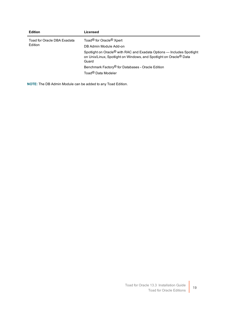| <b>Edition</b>                         | Licensed                                                                                                                                                                      |
|----------------------------------------|-------------------------------------------------------------------------------------------------------------------------------------------------------------------------------|
| Toad for Oracle DBA Exadata<br>Edition | Toad <sup>®</sup> for Oracle <sup>®</sup> Xpert                                                                                                                               |
|                                        | DB Admin Module Add-on                                                                                                                                                        |
|                                        | Spotlight on Oracle <sup>®</sup> with RAC and Exadata Options — Includes Spotlight<br>on Unix/Linux, Spotlight on Windows, and Spotlight on Oracle <sup>®</sup> Data<br>Guard |
|                                        | Benchmark Factory <sup>®</sup> for Databases - Oracle Edition                                                                                                                 |
|                                        | Toad <sup>®</sup> Data Modeler                                                                                                                                                |

**NOTE:** The DB Admin Module can be added to any Toad Edition.